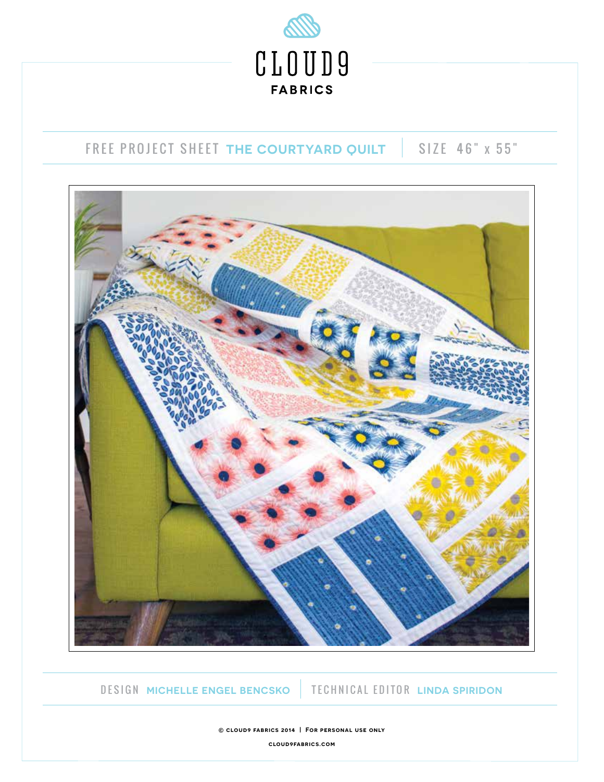

# FREE PROJECT SHEET THE COURTYARD QUILT | SIZE 46" x 55"



DESIGN **MICHELLE ENGEL BENCSKO** TECHNICAL EDITOR **LINDA SPIRIDON**

**© cloud9 fabrics 2014 | For personal use only cloud9fabrics.com**